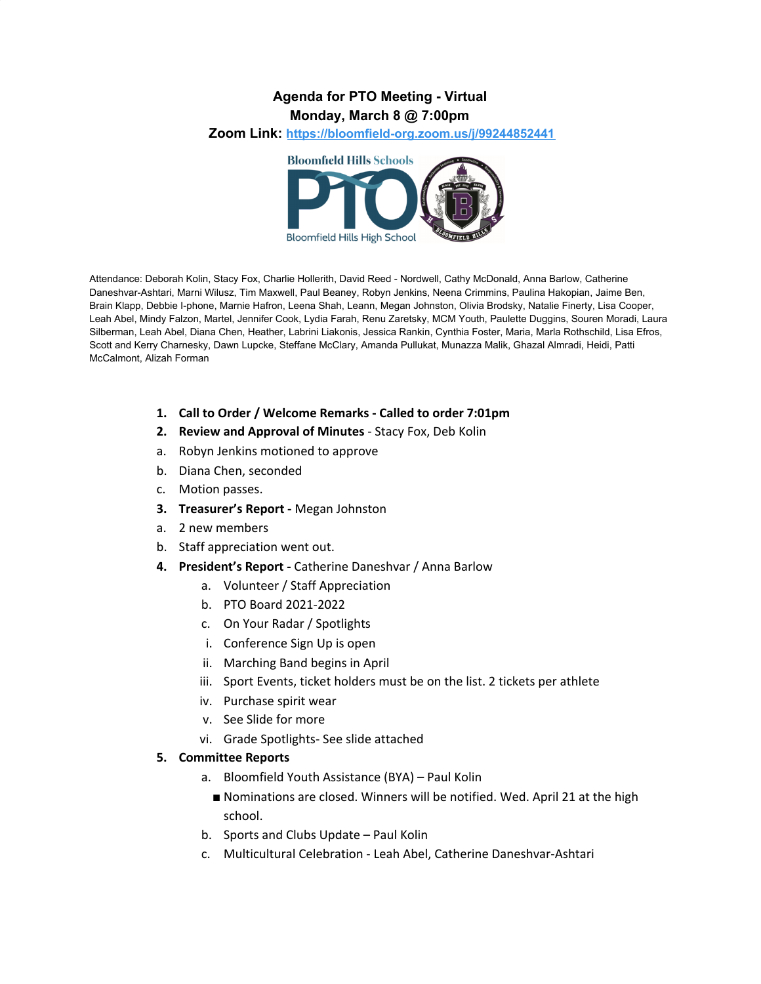### **Agenda for PTO Meeting - Virtual Monday, March 8 @ 7:00pm**

**Zoom Link: <https://bloomfield-org.zoom.us/j/99244852441>**



Attendance: Deborah Kolin, Stacy Fox, Charlie Hollerith, David Reed - Nordwell, Cathy McDonald, Anna Barlow, Catherine Daneshvar-Ashtari, Marni Wilusz, Tim Maxwell, Paul Beaney, Robyn Jenkins, Neena Crimmins, Paulina Hakopian, Jaime Ben, Brain Klapp, Debbie I-phone, Marnie Hafron, Leena Shah, Leann, Megan Johnston, Olivia Brodsky, Natalie Finerty, Lisa Cooper, Leah Abel, Mindy Falzon, Martel, Jennifer Cook, Lydia Farah, Renu Zaretsky, MCM Youth, Paulette Duggins, Souren Moradi, Laura Silberman, Leah Abel, Diana Chen, Heather, Labrini Liakonis, Jessica Rankin, Cynthia Foster, Maria, Marla Rothschild, Lisa Efros, Scott and Kerry Charnesky, Dawn Lupcke, Steffane McClary, Amanda Pullukat, Munazza Malik, Ghazal Almradi, Heidi, Patti McCalmont, Alizah Forman

- **1. Call to Order / Welcome Remarks - Called to order 7:01pm**
- **2. Review and Approval of Minutes** Stacy Fox, Deb Kolin
- a. Robyn Jenkins motioned to approve
- b. Diana Chen, seconded
- c. Motion passes.
- **3. Treasurer's Report -** Megan Johnston
- a. 2 new members
- b. Staff appreciation went out.
- **4. President's Report -** Catherine Daneshvar / Anna Barlow
	- a. Volunteer / Staff Appreciation
	- b. PTO Board 2021-2022
	- c. On Your Radar / Spotlights
	- i. Conference Sign Up is open
	- ii. Marching Band begins in April
	- iii. Sport Events, ticket holders must be on the list. 2 tickets per athlete
	- iv. Purchase spirit wear
	- v. See Slide for more
	- vi. Grade Spotlights- See slide attached

#### **5. Committee Reports**

- a. Bloomfield Youth Assistance (BYA) Paul Kolin
	- Nominations are closed. Winners will be notified. Wed. April 21 at the high school.
- b. Sports and Clubs Update Paul Kolin
- c. Multicultural Celebration Leah Abel, Catherine Daneshvar-Ashtari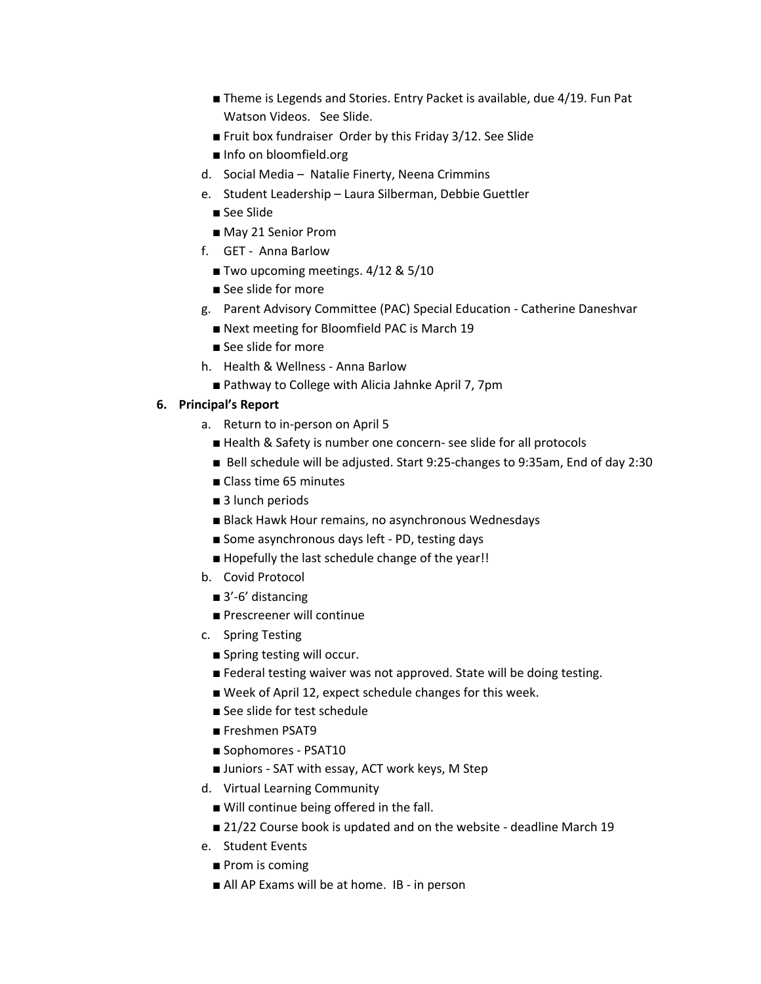- Theme is Legends and Stories. Entry Packet is available, due 4/19. Fun Pat Watson Videos. See Slide.
- Fruit box fundraiser Order by this Friday 3/12. See Slide
- Info on bloomfield.org
- d. Social Media Natalie Finerty, Neena Crimmins
- e. Student Leadership Laura Silberman, Debbie Guettler
	- See Slide
	- May 21 Senior Prom
- f. GET Anna Barlow
	- Two upcoming meetings. 4/12 & 5/10
	- See slide for more
- g. Parent Advisory Committee (PAC) Special Education Catherine Daneshvar
	- Next meeting for Bloomfield PAC is March 19
	- See slide for more
- h. Health & Wellness Anna Barlow
- Pathway to College with Alicia Jahnke April 7, 7pm

#### **6. Principal's Report**

- a. Return to in-person on April 5
	- Health & Safety is number one concern- see slide for all protocols
	- Bell schedule will be adjusted. Start 9:25-changes to 9:35am, End of day 2:30
	- Class time 65 minutes
	- 3 lunch periods
	- Black Hawk Hour remains, no asynchronous Wednesdays
	- Some asynchronous days left PD, testing days
	- Hopefully the last schedule change of the year!!
- b. Covid Protocol
	- 3'-6' distancing
	- Prescreener will continue
- c. Spring Testing
	- Spring testing will occur.
	- Federal testing waiver was not approved. State will be doing testing.
	- Week of April 12, expect schedule changes for this week.
	- See slide for test schedule
	- Freshmen PSAT9
	- Sophomores PSAT10
	- Juniors SAT with essay, ACT work keys, M Step
- d. Virtual Learning Community
	- Will continue being offered in the fall.
	- 21/22 Course book is updated and on the website deadline March 19
- e. Student Events
	- Prom is coming
	- All AP Exams will be at home. IB in person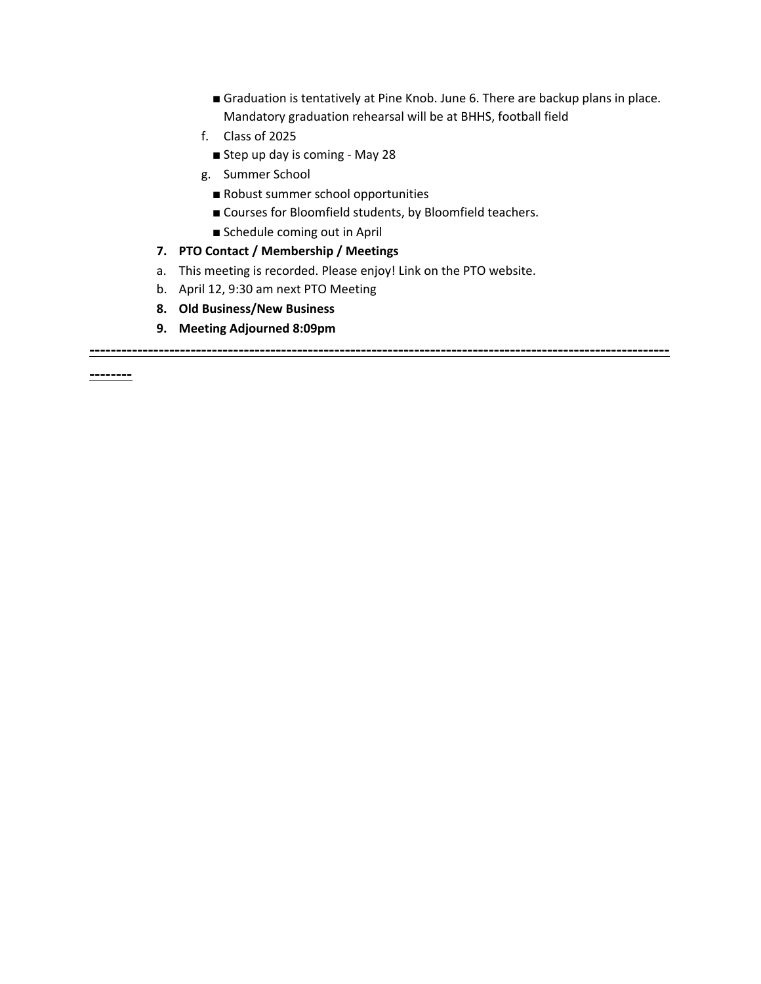- Graduation is tentatively at Pine Knob. June 6. There are backup plans in place. Mandatory graduation rehearsal will be at BHHS, football field
- f. Class of 2025
	- Step up day is coming May 28
- g. Summer School
	- Robust summer school opportunities
	- Courses for Bloomfield students, by Bloomfield teachers.
	- Schedule coming out in April
- **7. PTO Contact / Membership / Meetings**
- a. This meeting is recorded. Please enjoy! Link on the PTO website.
- b. April 12, 9:30 am next PTO Meeting
- **8. Old Business/New Business**
- **9. Meeting Adjourned 8:09pm**

**-------------------------------------------------------------------------------------------------------------**

**--------**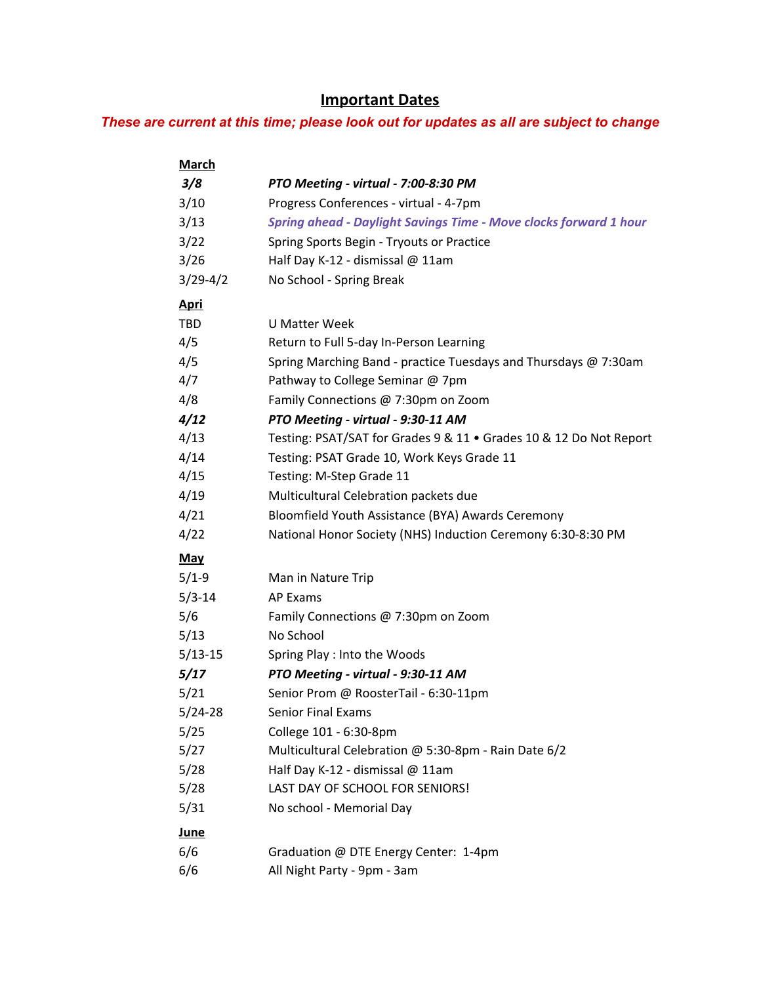# **Important Dates**

## *These are current at this time; please look out for updates as all are subject to change*

| <u>March</u> |                                                                          |
|--------------|--------------------------------------------------------------------------|
| 3/8          | PTO Meeting - virtual - 7:00-8:30 PM                                     |
| 3/10         | Progress Conferences - virtual - 4-7pm                                   |
| 3/13         | <b>Spring ahead - Daylight Savings Time - Move clocks forward 1 hour</b> |
| 3/22         | Spring Sports Begin - Tryouts or Practice                                |
| 3/26         | Half Day K-12 - dismissal @ 11am                                         |
| $3/29-4/2$   | No School - Spring Break                                                 |
| <u>Apri</u>  |                                                                          |
| <b>TBD</b>   | U Matter Week                                                            |
| 4/5          | Return to Full 5-day In-Person Learning                                  |
| 4/5          | Spring Marching Band - practice Tuesdays and Thursdays @ 7:30am          |
| 4/7          | Pathway to College Seminar @ 7pm                                         |
| 4/8          | Family Connections @ 7:30pm on Zoom                                      |
| 4/12         | PTO Meeting - virtual - 9:30-11 AM                                       |
| 4/13         | Testing: PSAT/SAT for Grades 9 & 11 . Grades 10 & 12 Do Not Report       |
| 4/14         | Testing: PSAT Grade 10, Work Keys Grade 11                               |
| 4/15         | Testing: M-Step Grade 11                                                 |
| 4/19         | Multicultural Celebration packets due                                    |
| 4/21         | Bloomfield Youth Assistance (BYA) Awards Ceremony                        |
| 4/22         | National Honor Society (NHS) Induction Ceremony 6:30-8:30 PM             |
| <b>May</b>   |                                                                          |
| $5/1-9$      | Man in Nature Trip                                                       |
| $5/3 - 14$   | <b>AP Exams</b>                                                          |
| 5/6          | Family Connections @ 7:30pm on Zoom                                      |
| 5/13         | No School                                                                |
| $5/13-15$    | Spring Play: Into the Woods                                              |
| 5/17         | PTO Meeting - virtual - 9:30-11 AM                                       |
| 5/21         | Senior Prom @ RoosterTail - 6:30-11pm                                    |
| $5/24 - 28$  | Senior Final Exams                                                       |
| 5/25         | College 101 - 6:30-8pm                                                   |
| 5/27         | Multicultural Celebration @ 5:30-8pm - Rain Date 6/2                     |
| 5/28         | Half Day K-12 - dismissal @ 11am                                         |
| 5/28         | LAST DAY OF SCHOOL FOR SENIORS!                                          |
| 5/31         | No school - Memorial Day                                                 |
| <u>June</u>  |                                                                          |
| 6/6          | Graduation @ DTE Energy Center: 1-4pm                                    |
| 6/6          | All Night Party - 9pm - 3am                                              |